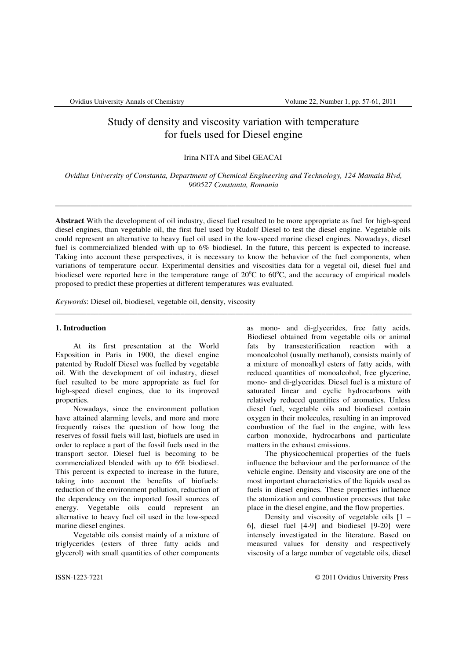# Study of density and viscosity variation with temperature for fuels used for Diesel engine

## Irina NITA and Sibel GEACAI

*Ovidius University of Constanta, Department of Chemical Engineering and Technology, 124 Mamaia Blvd, 900527 Constanta, Romania* 

\_\_\_\_\_\_\_\_\_\_\_\_\_\_\_\_\_\_\_\_\_\_\_\_\_\_\_\_\_\_\_\_\_\_\_\_\_\_\_\_\_\_\_\_\_\_\_\_\_\_\_\_\_\_\_\_\_\_\_\_\_\_\_\_\_\_\_\_\_\_\_\_\_\_\_\_\_\_\_\_\_\_\_\_\_\_\_\_\_\_\_

**Abstract** With the development of oil industry, diesel fuel resulted to be more appropriate as fuel for high-speed diesel engines, than vegetable oil, the first fuel used by Rudolf Diesel to test the diesel engine. Vegetable oils could represent an alternative to heavy fuel oil used in the low-speed marine diesel engines. Nowadays, diesel fuel is commercialized blended with up to 6% biodiesel. In the future, this percent is expected to increase. Taking into account these perspectives, it is necessary to know the behavior of the fuel components, when variations of temperature occur. Experimental densities and viscosities data for a vegetal oil, diesel fuel and biodiesel were reported here in the temperature range of  $20^{\circ}$ C to  $60^{\circ}$ C, and the accuracy of empirical models proposed to predict these properties at different temperatures was evaluated.

\_\_\_\_\_\_\_\_\_\_\_\_\_\_\_\_\_\_\_\_\_\_\_\_\_\_\_\_\_\_\_\_\_\_\_\_\_\_\_\_\_\_\_\_\_\_\_\_\_\_\_\_\_\_\_\_\_\_\_\_\_\_\_\_\_\_\_\_\_\_\_\_\_\_\_\_\_\_\_\_\_\_\_\_\_\_\_\_\_\_\_

*Keywords*: Diesel oil, biodiesel, vegetable oil, density, viscosity

### **1. Introduction**

At its first presentation at the World Exposition in Paris in 1900, the diesel engine patented by Rudolf Diesel was fuelled by vegetable oil. With the development of oil industry, diesel fuel resulted to be more appropriate as fuel for high-speed diesel engines, due to its improved properties.

Nowadays, since the environment pollution have attained alarming levels, and more and more frequently raises the question of how long the reserves of fossil fuels will last, biofuels are used in order to replace a part of the fossil fuels used in the transport sector. Diesel fuel is becoming to be commercialized blended with up to 6% biodiesel. This percent is expected to increase in the future, taking into account the benefits of biofuels: reduction of the environment pollution, reduction of the dependency on the imported fossil sources of energy. Vegetable oils could represent an alternative to heavy fuel oil used in the low-speed marine diesel engines.

Vegetable oils consist mainly of a mixture of triglycerides (esters of three fatty acids and glycerol) with small quantities of other components

as mono- and di-glycerides, free fatty acids. Biodiesel obtained from vegetable oils or animal fats by transesterification reaction with a monoalcohol (usually methanol), consists mainly of a mixture of monoalkyl esters of fatty acids, with reduced quantities of monoalcohol, free glycerine, mono- and di-glycerides. Diesel fuel is a mixture of saturated linear and cyclic hydrocarbons with relatively reduced quantities of aromatics. Unless diesel fuel, vegetable oils and biodiesel contain oxygen in their molecules, resulting in an improved combustion of the fuel in the engine, with less carbon monoxide, hydrocarbons and particulate matters in the exhaust emissions.

The physicochemical properties of the fuels influence the behaviour and the performance of the vehicle engine. Density and viscosity are one of the most important characteristics of the liquids used as fuels in diesel engines. These properties influence the atomization and combustion processes that take place in the diesel engine, and the flow properties.

Density and viscosity of vegetable oils [1 – 6], diesel fuel [4-9] and biodiesel [9-20] were intensely investigated in the literature. Based on measured values for density and respectively viscosity of a large number of vegetable oils, diesel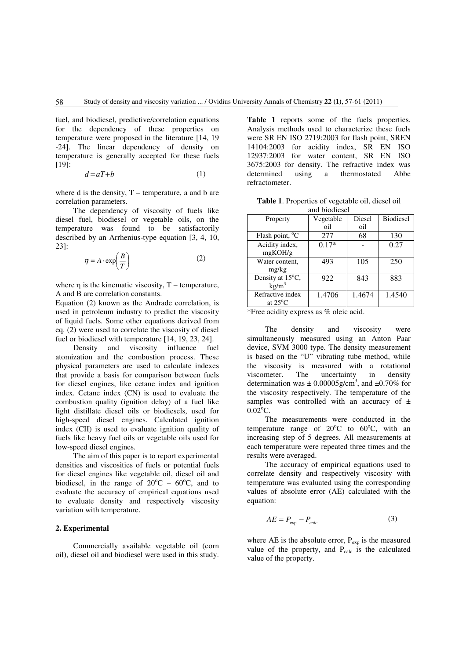fuel, and biodiesel, predictive/correlation equations for the dependency of these properties on temperature were proposed in the literature [14, 19 -24]. The linear dependency of density on temperature is generally accepted for these fuels [19]:

$$
d = aT + b \tag{1}
$$

where d is the density,  $T$  – temperature, a and b are correlation parameters.

The dependency of viscosity of fuels like diesel fuel, biodiesel or vegetable oils, on the temperature was found to be satisfactorily described by an Arrhenius-type equation [3, 4, 10, 23]:

$$
\eta = A \cdot \exp\left(\frac{B}{T}\right) \tag{2}
$$

where  $\eta$  is the kinematic viscosity, T – temperature, A and B are correlation constants.

Equation (2) known as the Andrade correlation, is used in petroleum industry to predict the viscosity of liquid fuels. Some other equations derived from eq. (2) were used to correlate the viscosity of diesel fuel or biodiesel with temperature [14, 19, 23, 24].<br>Density and viscosity influence fuel

Density and viscosity atomization and the combustion process. These physical parameters are used to calculate indexes that provide a basis for comparison between fuels for diesel engines, like cetane index and ignition index. Cetane index (CN) is used to evaluate the combustion quality (ignition delay) of a fuel like light distillate diesel oils or biodiesels, used for high-speed diesel engines. Calculated ignition index (CII) is used to evaluate ignition quality of fuels like heavy fuel oils or vegetable oils used for low-speed diesel engines.

The aim of this paper is to report experimental densities and viscosities of fuels or potential fuels for diesel engines like vegetable oil, diesel oil and biodiesel, in the range of  $20^{\circ}$ C –  $60^{\circ}$ C, and to evaluate the accuracy of empirical equations used to evaluate density and respectively viscosity variation with temperature.

## **2. Experimental**

Commercially available vegetable oil (corn oil), diesel oil and biodiesel were used in this study. **Table 1** reports some of the fuels properties. Analysis methods used to characterize these fuels were SR EN ISO 2719:2003 for flash point, SREN 14104:2003 for acidity index, SR EN ISO 12937:2003 for water content, SR EN ISO 3675:2003 for density. The refractive index was determined using a thermostated Abbe refractometer.

**Table 1**. Properties of vegetable oil, diesel oil and biodiesel

| Property                              | Vegetable<br>oil | Diesel<br>oil | <b>Biodiesel</b> |
|---------------------------------------|------------------|---------------|------------------|
| Flash point, $^{\circ}C$              | 277              | 68            | 130              |
| Acidity index,<br>mgKOH/g             | $0.17*$          |               | 0.27             |
| Water content,<br>mg/kg               | 493              | 105           | 250              |
| Density at 15°C,<br>kg/m <sup>3</sup> | 922              | 843           | 883              |
| Refractive index<br>at $25^{\circ}$ C | 1.4706           | 1.4674        | 1.4540           |

\*Free acidity express as % oleic acid.

The density and viscosity were simultaneously measured using an Anton Paar device, SVM 3000 type. The density measurement is based on the "U" vibrating tube method, while the viscosity is measured with a rotational viscometer. The uncertainty in density determination was  $\pm 0.00005$  g/cm<sup>3</sup>, and  $\pm 0.70\%$  for the viscosity respectively. The temperature of the samples was controlled with an accuracy of  $\pm$  $0.02$ °C.

The measurements were conducted in the temperature range of  $20^{\circ}$ C to  $60^{\circ}$ C, with an increasing step of 5 degrees. All measurements at each temperature were repeated three times and the results were averaged.

The accuracy of empirical equations used to correlate density and respectively viscosity with temperature was evaluated using the corresponding values of absolute error (AE) calculated with the equation:

$$
AE = P_{\text{exp}} - P_{\text{calc}} \tag{3}
$$

where AE is the absolute error,  $P_{\text{exp}}$  is the measured value of the property, and  $P_{calc}$  is the calculated value of the property.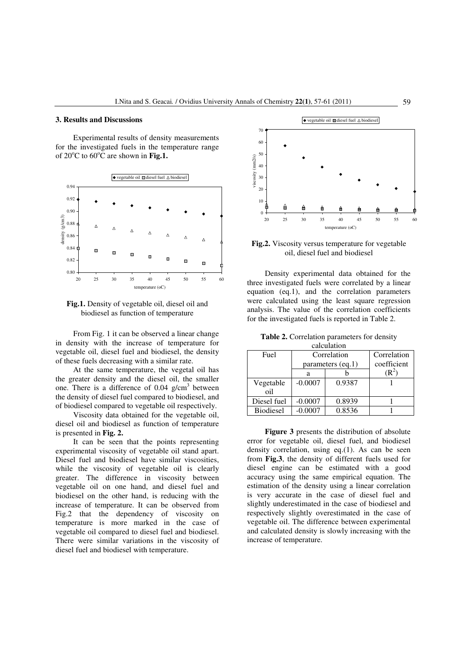## **3. Results and Discussions**

Experimental results of density measurements for the investigated fuels in the temperature range of  $20^{\circ}$ C to  $60^{\circ}$ C are shown in **Fig.1.** 



**Fig.1.** Density of vegetable oil, diesel oil and biodiesel as function of temperature

From Fig. 1 it can be observed a linear change in density with the increase of temperature for vegetable oil, diesel fuel and biodiesel, the density of these fuels decreasing with a similar rate.

At the same temperature, the vegetal oil has the greater density and the diesel oil, the smaller one. There is a difference of  $0.04$  g/cm<sup>3</sup> between the density of diesel fuel compared to biodiesel, and of biodiesel compared to vegetable oil respectively.

Viscosity data obtained for the vegetable oil, diesel oil and biodiesel as function of temperature is presented in **Fig. 2.**

It can be seen that the points representing experimental viscosity of vegetable oil stand apart. Diesel fuel and biodiesel have similar viscosities, while the viscosity of vegetable oil is clearly greater. The difference in viscosity between vegetable oil on one hand, and diesel fuel and biodiesel on the other hand, is reducing with the increase of temperature. It can be observed from Fig.2 that the dependency of viscosity on temperature is more marked in the case of vegetable oil compared to diesel fuel and biodiesel. There were similar variations in the viscosity of diesel fuel and biodiesel with temperature.



**Fig.2.** Viscosity versus temperature for vegetable oil, diesel fuel and biodiesel

Density experimental data obtained for the three investigated fuels were correlated by a linear equation (eq.1), and the correlation parameters were calculated using the least square regression analysis. The value of the correlation coefficients for the investigated fuels is reported in Table 2.

| calculation | <b>Table 2.</b> Correlation parameters for density |  |
|-------------|----------------------------------------------------|--|
|             |                                                    |  |

| Fuel             | Correlation       |        | Correlation |
|------------------|-------------------|--------|-------------|
|                  | parameters (eq.1) |        | coefficient |
|                  | а                 |        |             |
| Vegetable        | $-0.0007$         | 0.9387 |             |
| oil              |                   |        |             |
| Diesel fuel      | $-0.0007$         | 0.8939 |             |
| <b>Biodiesel</b> |                   | 0.8536 |             |

**Figure 3** presents the distribution of absolute error for vegetable oil, diesel fuel, and biodiesel density correlation, using eq.(1). As can be seen from **Fig.3**, the density of different fuels used for diesel engine can be estimated with a good accuracy using the same empirical equation. The estimation of the density using a linear correlation is very accurate in the case of diesel fuel and slightly underestimated in the case of biodiesel and respectively slightly overestimated in the case of vegetable oil. The difference between experimental and calculated density is slowly increasing with the increase of temperature.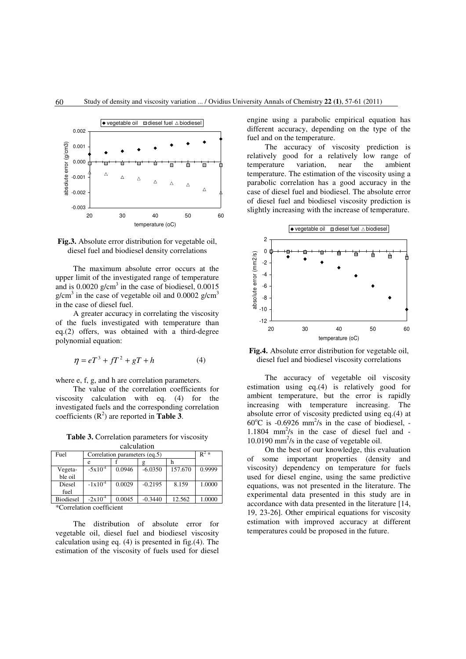

**Fig.3.** Absolute error distribution for vegetable oil, diesel fuel and biodiesel density correlations

The maximum absolute error occurs at the upper limit of the investigated range of temperature and is  $0.0020$  g/cm<sup>3</sup> in the case of biodiesel,  $0.0015$ g/cm<sup>3</sup> in the case of vegetable oil and 0.0002 g/cm<sup>3</sup> in the case of diesel fuel.

A greater accuracy in correlating the viscosity of the fuels investigated with temperature than eq.(2) offers, was obtained with a third-degree polynomial equation:

$$
\eta = eT^3 + fT^2 + gT + h \tag{4}
$$

where e, f, g, and h are correlation parameters.

The value of the correlation coefficients for viscosity calculation with eq. (4) for the investigated fuels and the corresponding correlation coefficients  $(R^2)$  are reported in **Table 3**.

**Table 3.** Correlation parameters for viscosity calculation

| <b>Calculation</b>                                                                                   |                               |        |           |         |                  |  |  |
|------------------------------------------------------------------------------------------------------|-------------------------------|--------|-----------|---------|------------------|--|--|
| Fuel                                                                                                 | Correlation parameters (eq.5) |        |           |         | $\mathbf{R}^2 *$ |  |  |
|                                                                                                      | e                             |        |           | n       |                  |  |  |
| Vegeta-                                                                                              | $-5x10^{-4}$                  | 0.0946 | $-6.0350$ | 157.670 | 0.9999           |  |  |
| ble oil                                                                                              |                               |        |           |         |                  |  |  |
| Diesel                                                                                               | $-1x10^{-4}$                  | 0.0029 | $-0.2195$ | 8.159   | 1.0000           |  |  |
| fuel                                                                                                 |                               |        |           |         |                  |  |  |
| <b>Biodiesel</b>                                                                                     | $-2x10^{-4}$                  | 0.0045 | $-0.3440$ | 12.562  | 1.0000           |  |  |
| $*$ $\alpha$ - $\alpha$ - $\alpha$ - $\alpha$ - $\alpha$ - $\alpha$ - $\alpha$ - $\alpha$ - $\alpha$ |                               |        |           |         |                  |  |  |

\*Correlation coefficient

The distribution of absolute error for vegetable oil, diesel fuel and biodiesel viscosity calculation using eq. (4) is presented in fig.(4). The estimation of the viscosity of fuels used for diesel engine using a parabolic empirical equation has different accuracy, depending on the type of the fuel and on the temperature.

The accuracy of viscosity prediction is relatively good for a relatively low range of temperature variation, near the ambient temperature. The estimation of the viscosity using a parabolic correlation has a good accuracy in the case of diesel fuel and biodiesel. The absolute error of diesel fuel and biodiesel viscosity prediction is slightly increasing with the increase of temperature.



**Fig.4.** Absolute error distribution for vegetable oil, diesel fuel and biodiesel viscosity correlations

The accuracy of vegetable oil viscosity estimation using eq.(4) is relatively good for ambient temperature, but the error is rapidly increasing with temperature increasing. The absolute error of viscosity predicted using eq.(4) at  $60^{\circ}$ C is -0.6926 mm<sup>2</sup>/s in the case of biodiesel, -1.1804  $mm^2/s$  in the case of diesel fuel and -10.0190 mm<sup>2</sup>/s in the case of vegetable oil.

On the best of our knowledge, this evaluation of some important properties (density and viscosity) dependency on temperature for fuels used for diesel engine, using the same predictive equations, was not presented in the literature. The experimental data presented in this study are in accordance with data presented in the literature [14, 19, 23-26]. Other empirical equations for viscosity estimation with improved accuracy at different temperatures could be proposed in the future.